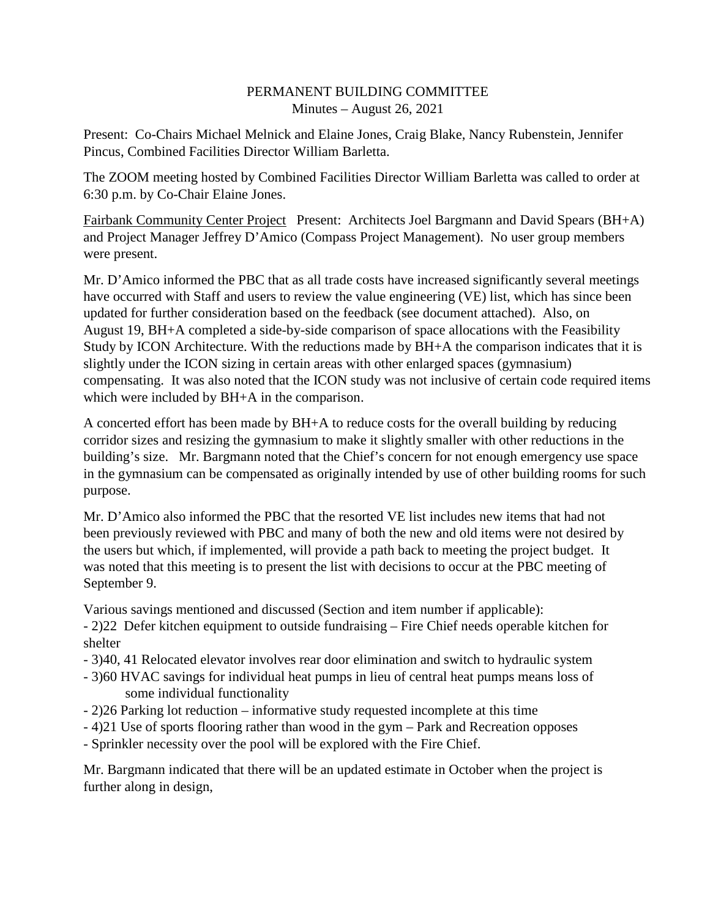## PERMANENT BUILDING COMMITTEE Minutes – August 26, 2021

Present: Co-Chairs Michael Melnick and Elaine Jones, Craig Blake, Nancy Rubenstein, Jennifer Pincus, Combined Facilities Director William Barletta.

The ZOOM meeting hosted by Combined Facilities Director William Barletta was called to order at 6:30 p.m. by Co-Chair Elaine Jones.

Fairbank Community Center Project Present: Architects Joel Bargmann and David Spears (BH+A) and Project Manager Jeffrey D'Amico (Compass Project Management). No user group members were present.

Mr. D'Amico informed the PBC that as all trade costs have increased significantly several meetings have occurred with Staff and users to review the value engineering (VE) list, which has since been updated for further consideration based on the feedback (see document attached). Also, on August 19, BH+A completed a side-by-side comparison of space allocations with the Feasibility Study by ICON Architecture. With the reductions made by BH+A the comparison indicates that it is slightly under the ICON sizing in certain areas with other enlarged spaces (gymnasium) compensating. It was also noted that the ICON study was not inclusive of certain code required items which were included by BH+A in the comparison.

A concerted effort has been made by BH+A to reduce costs for the overall building by reducing corridor sizes and resizing the gymnasium to make it slightly smaller with other reductions in the building's size. Mr. Bargmann noted that the Chief's concern for not enough emergency use space in the gymnasium can be compensated as originally intended by use of other building rooms for such purpose.

Mr. D'Amico also informed the PBC that the resorted VE list includes new items that had not been previously reviewed with PBC and many of both the new and old items were not desired by the users but which, if implemented, will provide a path back to meeting the project budget. It was noted that this meeting is to present the list with decisions to occur at the PBC meeting of September 9.

Various savings mentioned and discussed (Section and item number if applicable):

- 2)22 Defer kitchen equipment to outside fundraising – Fire Chief needs operable kitchen for shelter

- 3)40, 41 Relocated elevator involves rear door elimination and switch to hydraulic system
- 3)60 HVAC savings for individual heat pumps in lieu of central heat pumps means loss of some individual functionality
- 2)26 Parking lot reduction informative study requested incomplete at this time
- 4)21 Use of sports flooring rather than wood in the gym Park and Recreation opposes
- Sprinkler necessity over the pool will be explored with the Fire Chief.

Mr. Bargmann indicated that there will be an updated estimate in October when the project is further along in design,